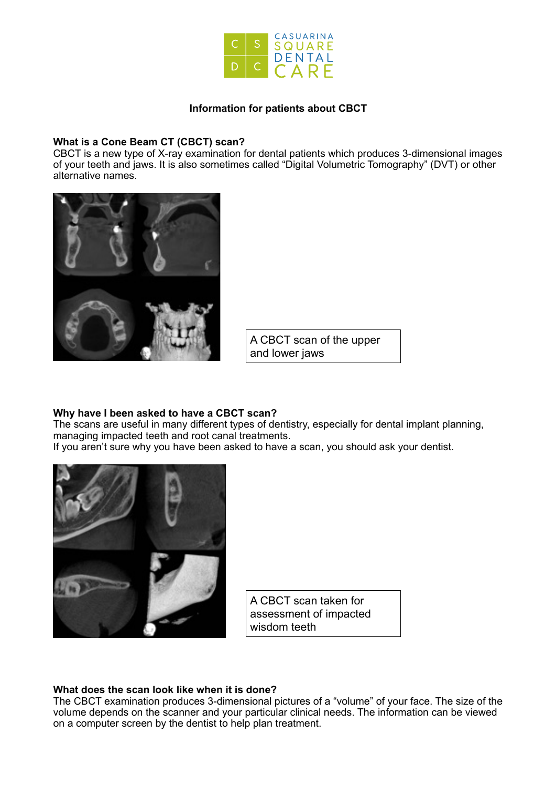

# **Information for patients about CBCT**

### **What is a Cone Beam CT (CBCT) scan?**

CBCT is a new type of X-ray examination for dental patients which produces 3-dimensional images of your teeth and jaws. It is also sometimes called "Digital Volumetric Tomography" (DVT) or other alternative names.



A CBCT scan of the upper and lower jaws

# **Why have I been asked to have a CBCT scan?**

The scans are useful in many different types of dentistry, especially for dental implant planning, managing impacted teeth and root canal treatments. If you aren't sure why you have been asked to have a scan, you should ask your dentist.



A CBCT scan taken for assessment of impacted wisdom teeth

### **What does the scan look like when it is done?**

The CBCT examination produces 3-dimensional pictures of a "volume" of your face. The size of the volume depends on the scanner and your particular clinical needs. The information can be viewed on a computer screen by the dentist to help plan treatment.